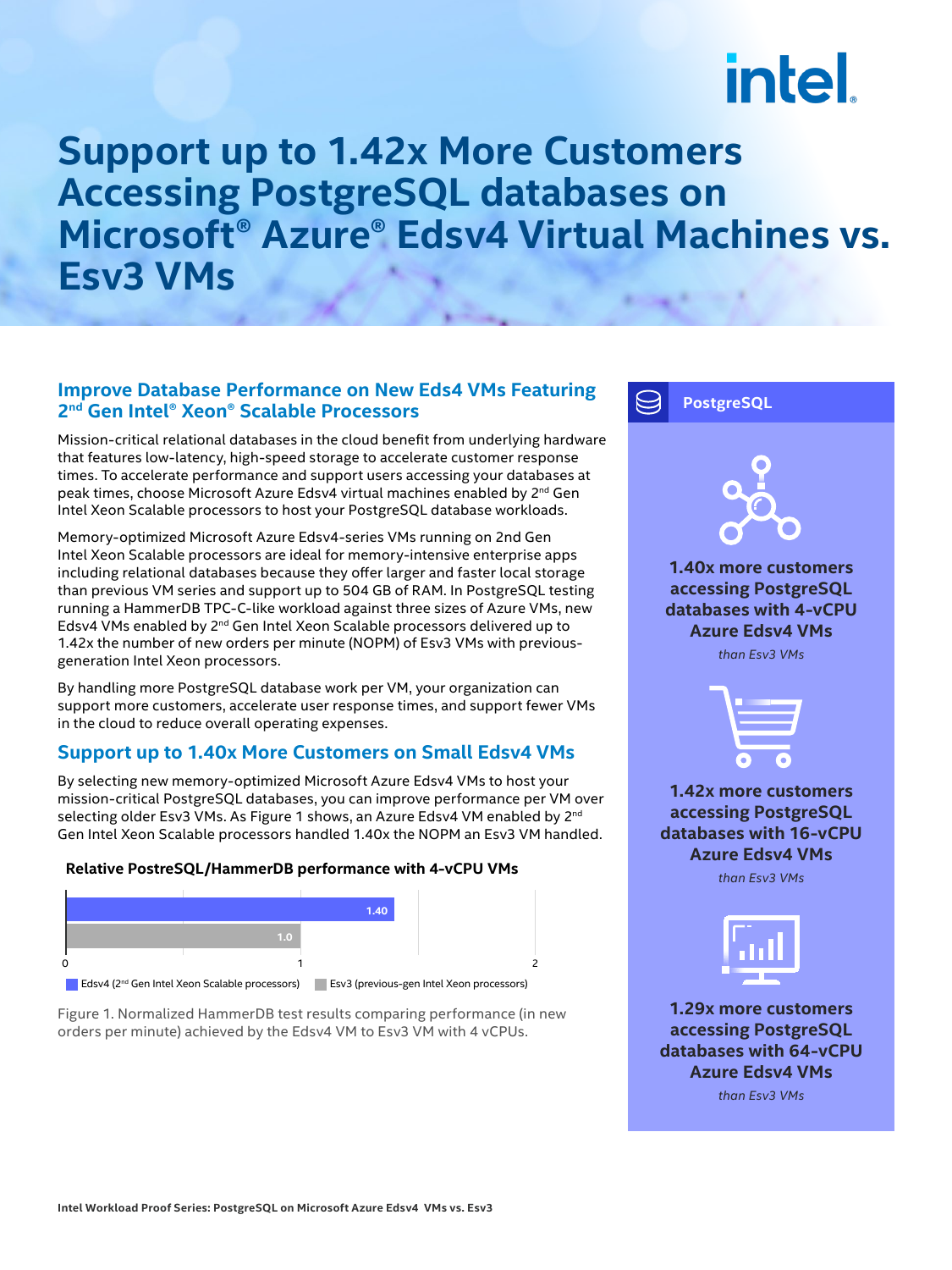# intel.

### **Support up to 1.42x More Customers Accessing PostgreSQL databases on Microsoft® Azure® Edsv4 Virtual Machines vs. Esv3 VMs**

#### **Improve Database Performance on New Eds4 VMs Featuring 2nd Gen Intel® Xeon® Scalable Processors**

Mission-critical relational databases in the cloud benefit from underlying hardware that features low-latency, high-speed storage to accelerate customer response times. To accelerate performance and support users accessing your databases at peak times, choose Microsoft Azure Edsv4 virtual machines enabled by 2<sup>nd</sup> Gen Intel Xeon Scalable processors to host your PostgreSQL database workloads.

Memory-optimized Microsoft Azure Edsv4-series VMs running on 2nd Gen Intel Xeon Scalable processors are ideal for memory-intensive enterprise apps including relational databases because they offer larger and faster local storage than previous VM series and support up to 504 GB of RAM. In PostgreSQL testing running a HammerDB TPC-C-like workload against three sizes of Azure VMs, new Edsv4 VMs enabled by 2nd Gen Intel Xeon Scalable processors delivered up to 1.42x the number of new orders per minute (NOPM) of Esv3 VMs with previousgeneration Intel Xeon processors.

By handling more PostgreSQL database work per VM, your organization can support more customers, accelerate user response times, and support fewer VMs in the cloud to reduce overall operating expenses.

#### **Support up to 1.40x More Customers on Small Edsv4 VMs**

By selecting new memory-optimized Microsoft Azure Edsv4 VMs to host your mission-critical PostgreSQL databases, you can improve performance per VM over selecting older Esv3 VMs. As Figure 1 shows, an Azure Edsv4 VM enabled by 2<sup>nd</sup> Gen Intel Xeon Scalable processors handled 1.40x the NOPM an Esv3 VM handled.

#### **Relative PostreSQL/HammerDB performance with 4-vCPU VMs**



Figure 1. Normalized HammerDB test results comparing performance (in new orders per minute) achieved by the Edsv4 VM to Esv3 VM with 4 vCPUs.



**Azure Edsv4 VMs** *than Esv3 VMs*